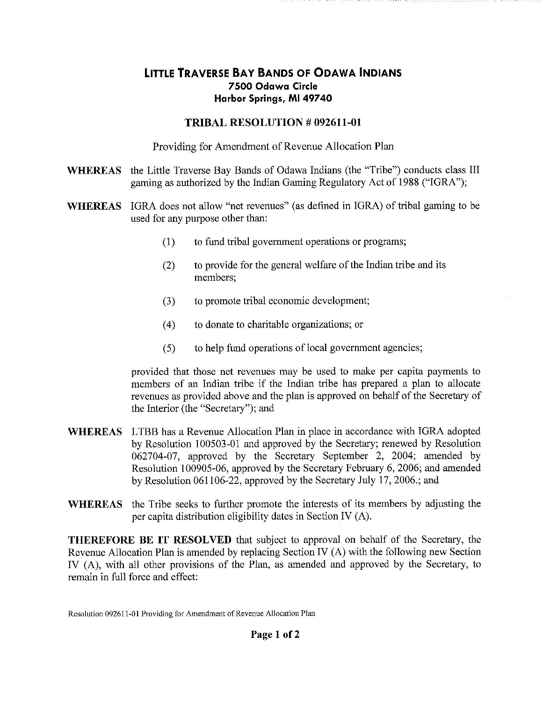## **LITTLE TRAVERSE BAY BANDS OF ODAWA INDIANS 7500 Odawa Circle Harbor Springs, MI 49740**

## **TRIBAL RESOLUTION # 092611-01**

Providing for Amendment of Revenue Allocation Plan

- WHEREAS the Little Traverse Bay Bands of Odawa Indians (the "Tribe") conducts class III gaming as authorized by the Indian Gaming Regulatory Act of 1988 ("IGRA");
- **WHEREAS**  IGRA does not allow "net revenues" (as defined in IGRA) of tribal gaming to be used for any purpose other than:
	- (1) to fund tribal government operations or programs;
	- (2) to provide for the general welfare of the Indian tribe and its members;
	- (3) to promote tribal economic development;
	- (4) to donate to charitable organizations; or
	- (5) to help fund operations of local government agencies;

provided that those net revenues may be used to make per capita payments to members of an Indian tribe if the Indian tribe has prepared a plan to allocate revenues as provided above and the plan is approved on behalf of the Secretary of the Interior (the "Secretary"); and

- **WHEREAS** LTBB has a Revenue Allocation Plan in place in accordance with IGRA adopted by Resolution 100503-01 and approved by the Secretary; renewed by Resolution 062704-07, approved by the Secretary September 2, 2004; amended by Resolution 100905-06, approved by the Secretary February 6, 2006; and amended by Resolution 061106-22, approved by the Secretary July 17, 2006.; and
- **WHEREAS** the Tribe seeks to further promote the interests of its members by adjusting the per capita distribution eligibility dates in Section IV (A).

**THEREFORE BE IT RESOLVED** that subject to approval on behalf of the Secretary, the Revenue Allocation Plan is amended by replacing Section IV {A) with the following new Section IV (A), with all other provisions of the Plan, as amended and approved by the Secretary, to remain in full force and effect:

Resolution 092611-01 Providing for Amendment of Revenue Allocation Plan